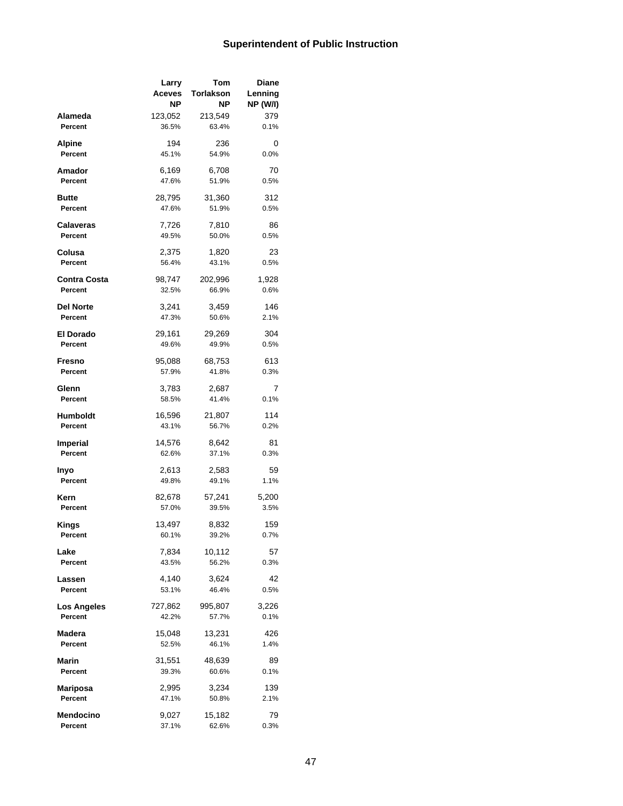## **Superintendent of Public Instruction**

|                      | Larry         | Tom              | Diane           |
|----------------------|---------------|------------------|-----------------|
|                      | <b>Aceves</b> | <b>Torlakson</b> | Lenning         |
|                      | ΝP            | ΝP               | <b>NP (W/I)</b> |
| Alameda              | 123,052       | 213,549          | 379             |
| Percent              | 36.5%         | 63.4%            | 0.1%            |
|                      |               |                  |                 |
| Alpine               | 194           | 236              | 0               |
| Percent              | 45.1%         | 54.9%            | 0.0%            |
| Amador               | 6,169         | 6,708            | 70              |
| Percent              | 47.6%         | 51.9%            | 0.5%            |
|                      |               |                  |                 |
| Butte                | 28,795        | 31,360           | 312             |
| Percent              | 47.6%         | 51.9%            | 0.5%            |
|                      | 7,726         | 7,810            | 86              |
| Calaveras<br>Percent | 49.5%         | 50.0%            | 0.5%            |
|                      |               |                  |                 |
| Colusa               | 2,375         | 1,820            | 23              |
| Percent              | 56.4%         | 43.1%            | 0.5%            |
| <b>Contra Costa</b>  |               |                  |                 |
| Percent              | 98,747        | 202,996          | 1,928           |
|                      | 32.5%         | 66.9%            | 0.6%            |
| Del Norte            | 3.241         | 3,459            | 146             |
| Percent              | 47.3%         | 50.6%            | 2.1%            |
|                      |               |                  |                 |
| <b>El Dorado</b>     | 29,161        | 29,269           | 304             |
| Percent              | 49.6%         | 49.9%            | 0.5%            |
| Fresno               | 95,088        | 68,753           | 613             |
| Percent              | 57.9%         | 41.8%            | 0.3%            |
|                      |               |                  |                 |
| Glenn                | 3,783         | 2,687            | 7               |
| Percent              | 58.5%         | 41.4%            | 0.1%            |
| Humboldt             | 16,596        | 21,807           | 114             |
| Percent              | 43.1%         | 56.7%            | 0.2%            |
|                      |               |                  |                 |
| Imperial             | 14,576        | 8,642            | 81              |
| Percent              | 62.6%         | 37.1%            | 0.3%            |
| Inyo                 | 2,613         | 2,583            | 59              |
| Percent              | 49.8%         | 49.1%            | 1.1%            |
|                      |               |                  |                 |
| Kern                 | 82,678        | 57,241           | 5,200           |
| Percent              | 57.0%         | 39.5%            | 3.5%            |
| Kings                | 13,497        | 8,832            | 159             |
| Percent              | 60.1%         | 39.2%            | 0.7%            |
|                      |               |                  |                 |
| Lake                 | 7,834         | 10,112           | 57              |
| Percent              | 43.5%         | 56.2%            | 0.3%            |
| Lassen               | 4,140         | 3,624            | 42              |
| Percent              | 53.1%         | 46.4%            | 0.5%            |
|                      |               |                  |                 |
| <b>Los Angeles</b>   | 727,862       | 995,807          | 3,226           |
| Percent              | 42.2%         | 57.7%            | 0.1%            |
| Madera               | 15,048        | 13,231           | 426             |
| Percent              | 52.5%         | 46.1%            | 1.4%            |
|                      |               |                  |                 |
| Marin                | 31,551        | 48,639           | 89              |
| Percent              | 39.3%         | 60.6%            | 0.1%            |
| Mariposa             | 2,995         | 3,234            | 139             |
| Percent              | 47.1%         | 50.8%            | 2.1%            |
|                      |               |                  |                 |
| Mendocino            | 9,027         | 15,182           | 79              |
| Percent              | 37.1%         | 62.6%            | 0.3%            |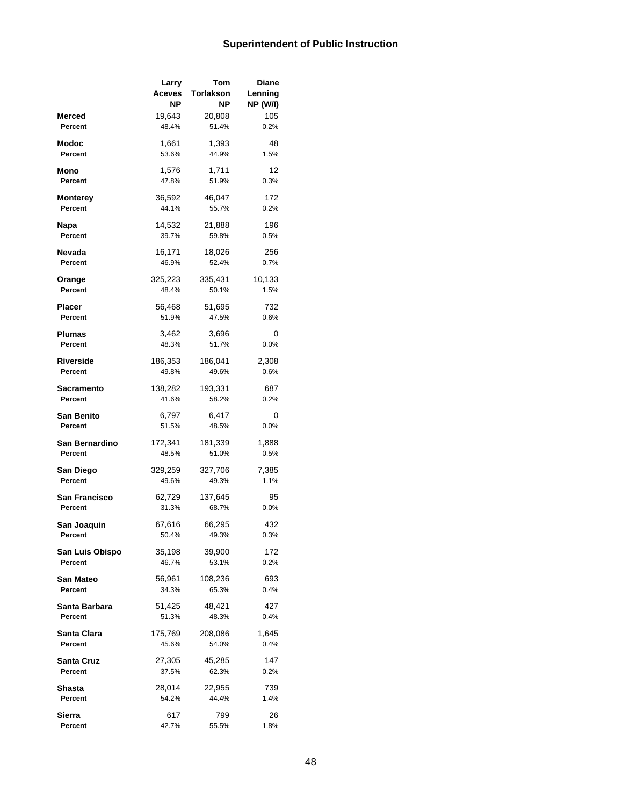## **Superintendent of Public Instruction**

|                 | Larry           | Tom              | <b>Diane</b>    |
|-----------------|-----------------|------------------|-----------------|
|                 | Aceves          | <b>Torlakson</b> | Lenning         |
|                 | ΝP              | NΡ               | <b>NP (W/I)</b> |
| Merced          | 19,643          | 20,808           | 105             |
| Percent         | 48.4%           | 51.4%            | 0.2%            |
|                 |                 |                  |                 |
| Modoc           | 1,661           | 1,393            | 48              |
| Percent         | 53.6%           | 44.9%            | 1.5%            |
| Mono            | 1,576           | 1,711            | 12              |
| Percent         | 47.8%           | 51.9%            | 0.3%            |
|                 |                 |                  |                 |
| <b>Monterey</b> | 36,592          | 46,047           | 172             |
| Percent         | 44.1%           | 55.7%            | 0.2%            |
|                 |                 |                  |                 |
| Napa<br>Percent | 14,532<br>39.7% | 21,888<br>59.8%  | 196             |
|                 |                 |                  | 0.5%            |
| Nevada          | 16,171          | 18,026           | 256             |
| Percent         | 46.9%           | 52.4%            | 0.7%            |
|                 |                 |                  |                 |
| Orange          | 325,223         | 335,431          | 10,133          |
| Percent         | 48.4%           | 50.1%            | 1.5%            |
| <b>Placer</b>   | 56,468          | 51,695           | 732             |
| Percent         | 51.9%           | 47.5%            | 0.6%            |
|                 |                 |                  |                 |
| Plumas          | 3,462           | 3,696            | 0               |
| Percent         | 48.3%           | 51.7%            | 0.0%            |
| Riverside       | 186,353         | 186,041          | 2,308           |
| Percent         | 49.8%           | 49.6%            | 0.6%            |
|                 |                 |                  |                 |
| Sacramento      | 138,282         | 193,331          | 687             |
| Percent         | 41.6%           | 58.2%            | 0.2%            |
| San Benito      | 6,797           | 6,417            | 0               |
| Percent         | 51.5%           | 48.5%            | 0.0%            |
|                 |                 |                  |                 |
| San Bernardino  | 172,341         | 181,339          | 1,888           |
| Percent         | 48.5%           | 51.0%            | 0.5%            |
| San Diego       | 329,259         | 327,706          | 7,385           |
| Percent         | 49.6%           | 49.3%            | 1.1%            |
|                 |                 |                  |                 |
| San Francisco   | 62,729          | 137,645          | 95              |
| Percent         | 31.3%           | 68.7%            | 0.0%            |
|                 |                 |                  |                 |
| San Joaquin     | 67,616          | 66,295           | 432             |
| rercent         | 50.4%           | 49.3%            | 0.3%            |
| San Luis Obispo | 35,198          | 39,900           | 172             |
| Percent         | 46.7%           | 53.1%            | 0.2%            |
|                 |                 |                  |                 |
| San Mateo       | 56,961          | 108,236          | 693             |
| Percent         | 34.3%           | 65.3%            | 0.4%            |
| Santa Barbara   | 51,425          | 48,421           | 427             |
| Percent         | 51.3%           | 48.3%            | 0.4%            |
|                 |                 |                  |                 |
| Santa Clara     | 175,769         | 208,086          | 1,645           |
| Percent         | 45.6%           | 54.0%            | 0.4%            |
| Santa Cruz      | 27,305          | 45,285           | 147             |
| Percent         | 37.5%           | 62.3%            | 0.2%            |
|                 |                 |                  |                 |
| Shasta          | 28,014          | 22,955           | 739             |
| Percent         | 54.2%           | 44.4%            | 1.4%            |
| Sierra          | 617             | 799              | 26              |
| Percent         | 42.7%           | 55.5%            | 1.8%            |
|                 |                 |                  |                 |